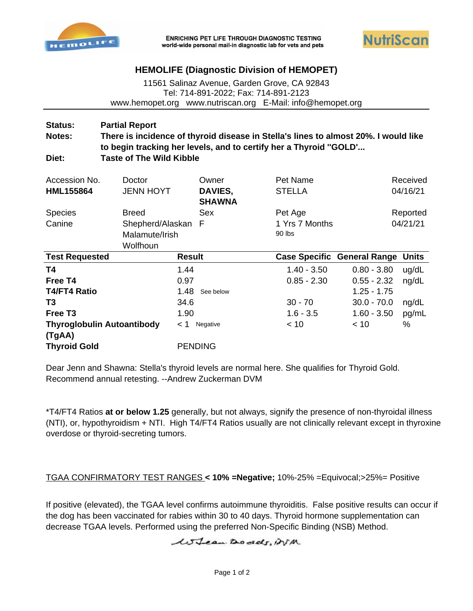

**ENRICHING PET LIFE THROUGH DIAGNOSTIC TESTING** world-wide personal mail-in diagnostic lab for vets and pets



## **HEMOLIFE (Diagnostic Division of HEMOPET)**

11561 Salinaz Avenue, Garden Grove, CA 92843 Tel: 714-891-2022; Fax: 714-891-2123 www.hemopet.org www.nutriscan.org E-Mail: info@hemopet.org

## **Status: Notes: Partial Report There is incidence of thyroid disease in Stella's lines to almost 20%. I would like to begin tracking her levels, and to certify her a Thyroid ''GOLD'... Diet: Taste of The Wild Kibble**

| Accession No.<br>HML155864                  | Doctor<br><b>JENN HOYT</b>                       | Owner<br>DAVIES,<br><b>SHAWNA</b> | Pet Name<br><b>STELLA</b> |                                          | Received<br>04/16/21 |
|---------------------------------------------|--------------------------------------------------|-----------------------------------|---------------------------|------------------------------------------|----------------------|
| <b>Species</b>                              | <b>Breed</b>                                     | Sex                               | Pet Age                   |                                          | Reported             |
| Canine                                      | Shepherd/Alaskan F<br>Malamute/Irish<br>Wolfhoun |                                   | 1 Yrs 7 Months<br>90 lbs  |                                          | 04/21/21             |
| <b>Test Requested</b>                       | <b>Result</b>                                    |                                   |                           | <b>Case Specific General Range Units</b> |                      |
| T4                                          | 1.44                                             |                                   | $1.40 - 3.50$             | $0.80 - 3.80$                            | ug/dL                |
| Free T4                                     | 0.97                                             |                                   | $0.85 - 2.30$             | $0.55 - 2.32$                            | ng/dL                |
| <b>T4/FT4 Ratio</b>                         | 1.48                                             | See below                         |                           | $1.25 - 1.75$                            |                      |
| T3                                          | 34.6                                             |                                   | $30 - 70$                 | $30.0 - 70.0$                            | ng/dL                |
| Free T <sub>3</sub>                         | 1.90                                             |                                   | $1.6 - 3.5$               | $1.60 - 3.50$                            | pg/mL                |
| <b>Thyroglobulin Autoantibody</b><br>(TgAA) | < 1                                              | Negative                          | $~<$ 10                   | < 10                                     | %                    |
| <b>Thyroid Gold</b>                         |                                                  | <b>PENDING</b>                    |                           |                                          |                      |

Dear Jenn and Shawna: Stella's thyroid levels are normal here. She qualifies for Thyroid Gold. Recommend annual retesting. --Andrew Zuckerman DVM

\*T4/FT4 Ratios **at or below 1.25** generally, but not always, signify the presence of non-thyroidal illness (NTI), or, hypothyroidism + NTI. High T4/FT4 Ratios usually are not clinically relevant except in thyroxine overdose or thyroid-secreting tumors.

## TGAA CONFIRMATORY TEST RANGES **< 10% =Negative;** 10%-25% =Equivocal;>25%= Positive

If positive (elevated), the TGAA level confirms autoimmune thyroiditis. False positive results can occur if the dog has been vaccinated for rabies within 30 to 40 days. Thyroid hormone supplementation can decrease TGAA levels. Performed using the preferred Non-Specific Binding (NSB) Method.

loteau Dowels, WM